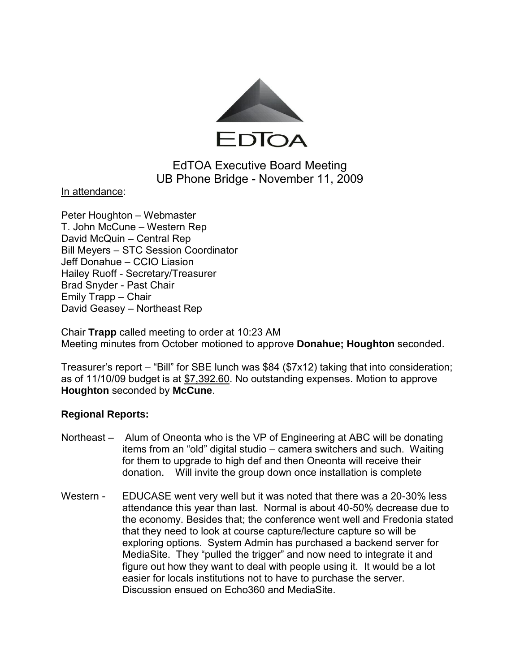

# EdTOA Executive Board Meeting UB Phone Bridge - November 11, 2009

In attendance:

Peter Houghton – Webmaster T. John McCune – Western Rep David McQuin – Central Rep Bill Meyers – STC Session Coordinator Jeff Donahue – CCIO Liasion Hailey Ruoff - Secretary/Treasurer Brad Snyder - Past Chair Emily Trapp – Chair David Geasey – Northeast Rep

Chair **Trapp** called meeting to order at 10:23 AM Meeting minutes from October motioned to approve **Donahue; Houghton** seconded.

Treasurer's report – "Bill" for SBE lunch was \$84 (\$7x12) taking that into consideration; as of 11/10/09 budget is at \$7,392.60. No outstanding expenses. Motion to approve **Houghton** seconded by **McCune**.

### **Regional Reports:**

- Northeast Alum of Oneonta who is the VP of Engineering at ABC will be donating items from an "old" digital studio – camera switchers and such. Waiting for them to upgrade to high def and then Oneonta will receive their donation. Will invite the group down once installation is complete
- Western EDUCASE went very well but it was noted that there was a 20-30% less attendance this year than last. Normal is about 40-50% decrease due to the economy. Besides that; the conference went well and Fredonia stated that they need to look at course capture/lecture capture so will be exploring options. System Admin has purchased a backend server for MediaSite. They "pulled the trigger" and now need to integrate it and figure out how they want to deal with people using it. It would be a lot easier for locals institutions not to have to purchase the server. Discussion ensued on Echo360 and MediaSite.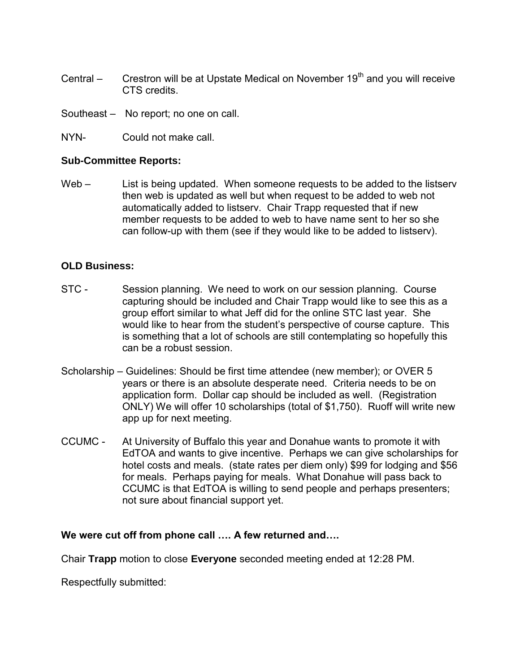- Central  $-$  Crestron will be at Upstate Medical on November 19<sup>th</sup> and you will receive CTS credits.
- Southeast No report; no one on call.
- NYN- Could not make call.

## **Sub-Committee Reports:**

Web – List is being updated. When someone requests to be added to the listserv then web is updated as well but when request to be added to web not automatically added to listserv. Chair Trapp requested that if new member requests to be added to web to have name sent to her so she can follow-up with them (see if they would like to be added to listserv).

# **OLD Business:**

- STC Session planning. We need to work on our session planning. Course capturing should be included and Chair Trapp would like to see this as a group effort similar to what Jeff did for the online STC last year. She would like to hear from the student's perspective of course capture. This is something that a lot of schools are still contemplating so hopefully this can be a robust session.
- Scholarship Guidelines: Should be first time attendee (new member); or OVER 5 years or there is an absolute desperate need. Criteria needs to be on application form. Dollar cap should be included as well. (Registration ONLY) We will offer 10 scholarships (total of \$1,750). Ruoff will write new app up for next meeting.
- CCUMC At University of Buffalo this year and Donahue wants to promote it with EdTOA and wants to give incentive. Perhaps we can give scholarships for hotel costs and meals. (state rates per diem only) \$99 for lodging and \$56 for meals. Perhaps paying for meals. What Donahue will pass back to CCUMC is that EdTOA is willing to send people and perhaps presenters; not sure about financial support yet.

### **We were cut off from phone call …. A few returned and….**

Chair **Trapp** motion to close **Everyone** seconded meeting ended at 12:28 PM.

Respectfully submitted: